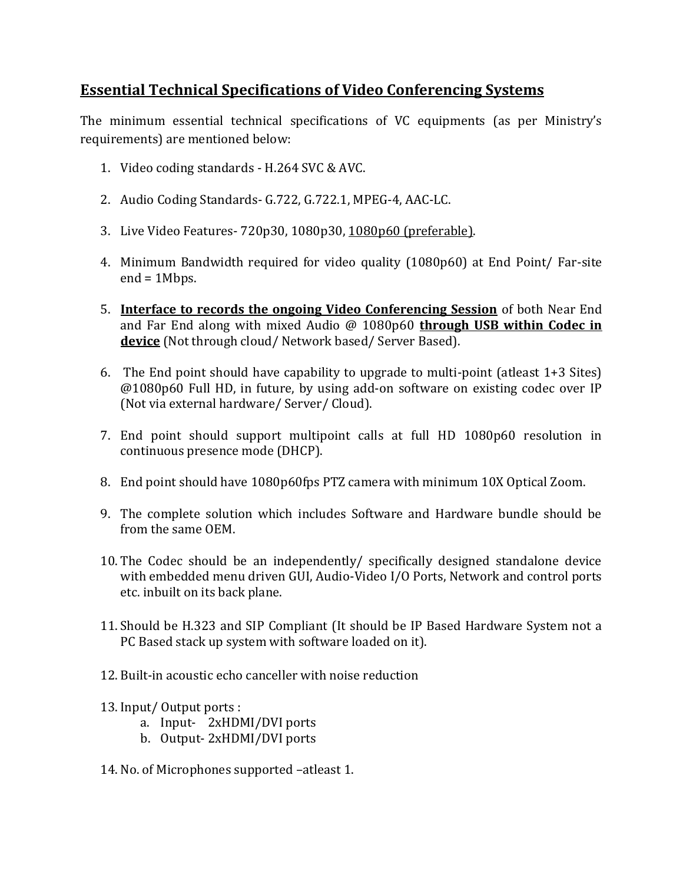## **Essential Technical Specifications of Video Conferencing Systems**

The minimum essential technical specifications of VC equipments (as per Ministry's requirements) are mentioned below:

- 1. Video coding standards H.264 SVC & AVC.
- 2. Audio Coding Standards- G.722, G.722.1, MPEG-4, AAC-LC.
- 3. Live Video Features- 720p30, 1080p30, 1080p60 (preferable).
- 4. Minimum Bandwidth required for video quality (1080p60) at End Point/ Far-site end = 1Mbps.
- 5. **Interface to records the ongoing Video Conferencing Session** of both Near End and Far End along with mixed Audio @ 1080p60 **through USB within Codec in device** (Not through cloud/ Network based/ Server Based).
- 6. The End point should have capability to upgrade to multi-point (atleast 1+3 Sites) @1080p60 Full HD, in future, by using add-on software on existing codec over IP (Not via external hardware/ Server/ Cloud).
- 7. End point should support multipoint calls at full HD 1080p60 resolution in continuous presence mode (DHCP).
- 8. End point should have 1080p60fps PTZ camera with minimum 10X Optical Zoom.
- 9. The complete solution which includes Software and Hardware bundle should be from the same OEM.
- 10. The Codec should be an independently/ specifically designed standalone device with embedded menu driven GUI, Audio-Video I/O Ports, Network and control ports etc. inbuilt on its back plane.
- 11. Should be H.323 and SIP Compliant (It should be IP Based Hardware System not a PC Based stack up system with software loaded on it).
- 12. Built-in acoustic echo canceller with noise reduction
- 13. Input/ Output ports :
	- a. Input- 2xHDMI/DVI ports
	- b. Output- 2xHDMI/DVI ports
- 14. No. of Microphones supported –atleast 1.